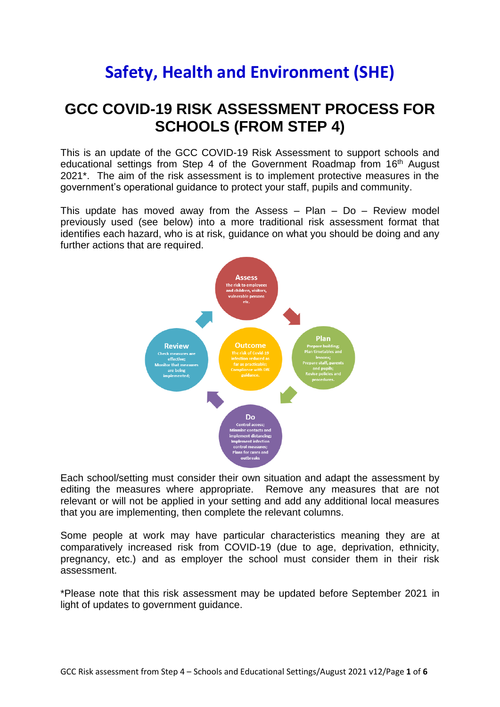## **Safety, Health and Environment (SHE)**

## **GCC COVID-19 RISK ASSESSMENT PROCESS FOR SCHOOLS (FROM STEP 4)**

This is an update of the GCC COVID-19 Risk Assessment to support schools and educational settings from Step 4 of the Government Roadmap from 16<sup>th</sup> August 2021\*. The aim of the risk assessment is to implement protective measures in the government's operational guidance to protect your staff, pupils and community.

This update has moved away from the Assess  $-$  Plan  $-$  Do  $-$  Review model previously used (see below) into a more traditional risk assessment format that identifies each hazard, who is at risk, guidance on what you should be doing and any further actions that are required.



Each school/setting must consider their own situation and adapt the assessment by editing the measures where appropriate. Remove any measures that are not relevant or will not be applied in your setting and add any additional local measures that you are implementing, then complete the relevant columns.

Some people at work may have particular characteristics meaning they are at comparatively increased risk from COVID-19 (due to age, deprivation, ethnicity, pregnancy, etc.) and as employer the school must consider them in their risk assessment.

\*Please note that this risk assessment may be updated before September 2021 in light of updates to government guidance.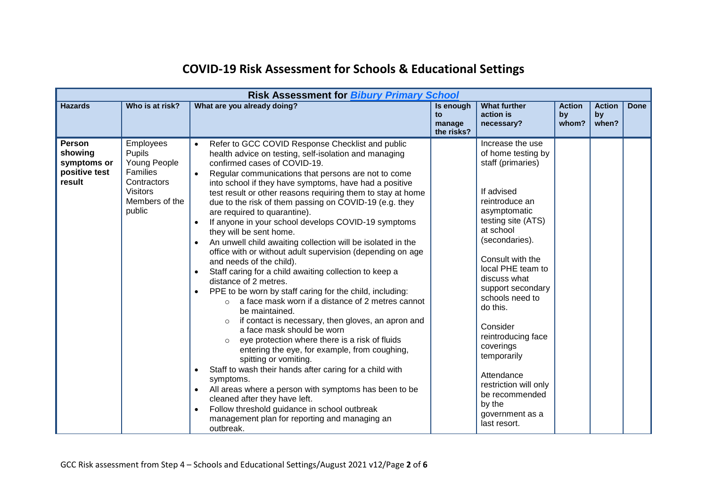| <b>Risk Assessment for Bibury Primary School</b>                   |                                                                                                                      |                                                                                                                                                                                                                                                                                                                                                                                                                                                                                                                                                                                                                                                                                                                                                                                                                                                                                                                                                                                                                                                                                                                                                                                                                                                                                                                                                                                                                                                                                                                                   |                                         |                                                                                                                                                                                                                                                                                                                                                                                                                                                   |                              |                              |      |
|--------------------------------------------------------------------|----------------------------------------------------------------------------------------------------------------------|-----------------------------------------------------------------------------------------------------------------------------------------------------------------------------------------------------------------------------------------------------------------------------------------------------------------------------------------------------------------------------------------------------------------------------------------------------------------------------------------------------------------------------------------------------------------------------------------------------------------------------------------------------------------------------------------------------------------------------------------------------------------------------------------------------------------------------------------------------------------------------------------------------------------------------------------------------------------------------------------------------------------------------------------------------------------------------------------------------------------------------------------------------------------------------------------------------------------------------------------------------------------------------------------------------------------------------------------------------------------------------------------------------------------------------------------------------------------------------------------------------------------------------------|-----------------------------------------|---------------------------------------------------------------------------------------------------------------------------------------------------------------------------------------------------------------------------------------------------------------------------------------------------------------------------------------------------------------------------------------------------------------------------------------------------|------------------------------|------------------------------|------|
| <b>Hazards</b>                                                     | Who is at risk?                                                                                                      | What are you already doing?                                                                                                                                                                                                                                                                                                                                                                                                                                                                                                                                                                                                                                                                                                                                                                                                                                                                                                                                                                                                                                                                                                                                                                                                                                                                                                                                                                                                                                                                                                       | Is enough<br>to<br>manage<br>the risks? | <b>What further</b><br>action is<br>necessary?                                                                                                                                                                                                                                                                                                                                                                                                    | <b>Action</b><br>by<br>whom? | <b>Action</b><br>by<br>when? | Done |
| <b>Person</b><br>showing<br>symptoms or<br>positive test<br>result | <b>Employees</b><br>Pupils<br>Young People<br>Families<br>Contractors<br><b>Visitors</b><br>Members of the<br>public | Refer to GCC COVID Response Checklist and public<br>$\bullet$<br>health advice on testing, self-isolation and managing<br>confirmed cases of COVID-19.<br>Regular communications that persons are not to come<br>$\bullet$<br>into school if they have symptoms, have had a positive<br>test result or other reasons requiring them to stay at home<br>due to the risk of them passing on COVID-19 (e.g. they<br>are required to quarantine).<br>If anyone in your school develops COVID-19 symptoms<br>$\bullet$<br>they will be sent home.<br>An unwell child awaiting collection will be isolated in the<br>$\bullet$<br>office with or without adult supervision (depending on age<br>and needs of the child).<br>Staff caring for a child awaiting collection to keep a<br>$\bullet$<br>distance of 2 metres.<br>PPE to be worn by staff caring for the child, including:<br>$\bullet$<br>a face mask worn if a distance of 2 metres cannot<br>$\Omega$<br>be maintained.<br>if contact is necessary, then gloves, an apron and<br>$\Omega$<br>a face mask should be worn<br>eye protection where there is a risk of fluids<br>entering the eye, for example, from coughing,<br>spitting or vomiting.<br>Staff to wash their hands after caring for a child with<br>$\bullet$<br>symptoms.<br>All areas where a person with symptoms has been to be<br>$\bullet$<br>cleaned after they have left.<br>Follow threshold guidance in school outbreak<br>$\bullet$<br>management plan for reporting and managing an<br>outbreak. |                                         | Increase the use<br>of home testing by<br>staff (primaries)<br>If advised<br>reintroduce an<br>asymptomatic<br>testing site (ATS)<br>at school<br>(secondaries).<br>Consult with the<br>local PHE team to<br>discuss what<br>support secondary<br>schools need to<br>do this.<br>Consider<br>reintroducing face<br>coverings<br>temporarily<br>Attendance<br>restriction will only<br>be recommended<br>by the<br>government as a<br>last resort. |                              |                              |      |

## **COVID-19 Risk Assessment for Schools & Educational Settings**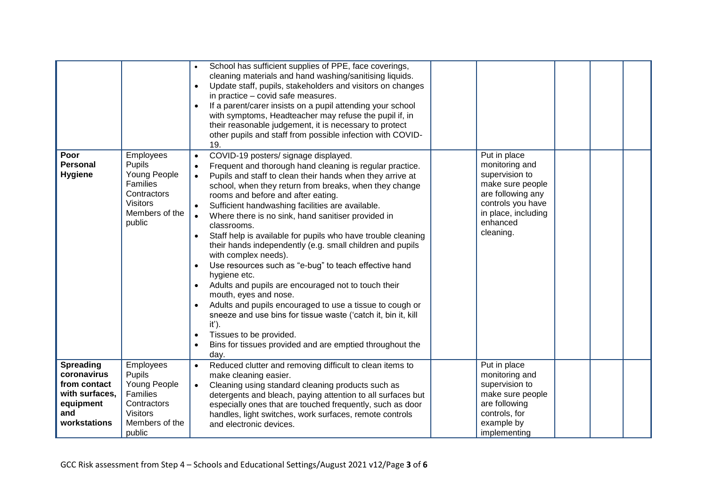|                                                                                                       |                                                                                                               | School has sufficient supplies of PPE, face coverings,<br>cleaning materials and hand washing/sanitising liquids.<br>Update staff, pupils, stakeholders and visitors on changes<br>$\bullet$<br>in practice - covid safe measures.<br>If a parent/carer insists on a pupil attending your school<br>$\bullet$<br>with symptoms, Headteacher may refuse the pupil if, in<br>their reasonable judgement, it is necessary to protect<br>other pupils and staff from possible infection with COVID-<br>19.                                                                                                                                                                                                                                                                                                                                                                                                                                                                                                                                                           |                                                                                                                                                                |
|-------------------------------------------------------------------------------------------------------|---------------------------------------------------------------------------------------------------------------|------------------------------------------------------------------------------------------------------------------------------------------------------------------------------------------------------------------------------------------------------------------------------------------------------------------------------------------------------------------------------------------------------------------------------------------------------------------------------------------------------------------------------------------------------------------------------------------------------------------------------------------------------------------------------------------------------------------------------------------------------------------------------------------------------------------------------------------------------------------------------------------------------------------------------------------------------------------------------------------------------------------------------------------------------------------|----------------------------------------------------------------------------------------------------------------------------------------------------------------|
| Poor<br><b>Personal</b><br><b>Hygiene</b>                                                             | Employees<br>Pupils<br>Young People<br>Families<br>Contractors<br><b>Visitors</b><br>Members of the<br>public | COVID-19 posters/ signage displayed.<br>$\bullet$<br>Frequent and thorough hand cleaning is regular practice.<br>Pupils and staff to clean their hands when they arrive at<br>$\bullet$<br>school, when they return from breaks, when they change<br>rooms and before and after eating.<br>Sufficient handwashing facilities are available.<br>Where there is no sink, hand sanitiser provided in<br>$\bullet$<br>classrooms.<br>Staff help is available for pupils who have trouble cleaning<br>$\bullet$<br>their hands independently (e.g. small children and pupils<br>with complex needs).<br>Use resources such as "e-bug" to teach effective hand<br>$\bullet$<br>hygiene etc.<br>Adults and pupils are encouraged not to touch their<br>$\bullet$<br>mouth, eyes and nose.<br>Adults and pupils encouraged to use a tissue to cough or<br>$\bullet$<br>sneeze and use bins for tissue waste ('catch it, bin it, kill<br>$it$ ).<br>Tissues to be provided.<br>$\bullet$<br>Bins for tissues provided and are emptied throughout the<br>$\bullet$<br>day. | Put in place<br>monitoring and<br>supervision to<br>make sure people<br>are following any<br>controls you have<br>in place, including<br>enhanced<br>cleaning. |
| <b>Spreading</b><br>coronavirus<br>from contact<br>with surfaces,<br>equipment<br>and<br>workstations | Employees<br>Pupils<br>Young People<br>Families<br>Contractors<br><b>Visitors</b><br>Members of the<br>public | Reduced clutter and removing difficult to clean items to<br>$\bullet$<br>make cleaning easier.<br>Cleaning using standard cleaning products such as<br>$\bullet$<br>detergents and bleach, paying attention to all surfaces but<br>especially ones that are touched frequently, such as door<br>handles, light switches, work surfaces, remote controls<br>and electronic devices.                                                                                                                                                                                                                                                                                                                                                                                                                                                                                                                                                                                                                                                                               | Put in place<br>monitoring and<br>supervision to<br>make sure people<br>are following<br>controls, for<br>example by<br>implementing                           |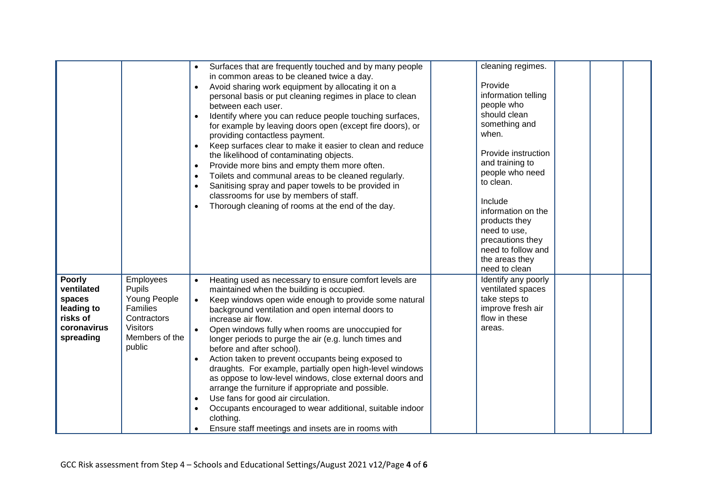|                                                                                             |                                                                                                               | Surfaces that are frequently touched and by many people<br>$\bullet$<br>in common areas to be cleaned twice a day.<br>Avoid sharing work equipment by allocating it on a<br>$\bullet$<br>personal basis or put cleaning regimes in place to clean<br>between each user.<br>Identify where you can reduce people touching surfaces,<br>$\bullet$<br>for example by leaving doors open (except fire doors), or<br>providing contactless payment.<br>Keep surfaces clear to make it easier to clean and reduce<br>$\bullet$<br>the likelihood of contaminating objects.<br>Provide more bins and empty them more often.<br>$\bullet$<br>Toilets and communal areas to be cleaned regularly.<br>$\bullet$<br>Sanitising spray and paper towels to be provided in<br>$\bullet$<br>classrooms for use by members of staff.<br>Thorough cleaning of rooms at the end of the day.<br>$\bullet$ | cleaning regimes.<br>Provide<br>information telling<br>people who<br>should clean<br>something and<br>when.<br>Provide instruction<br>and training to<br>people who need<br>to clean.<br>Include<br>information on the<br>products they<br>need to use,<br>precautions they<br>need to follow and<br>the areas they<br>need to clean |
|---------------------------------------------------------------------------------------------|---------------------------------------------------------------------------------------------------------------|----------------------------------------------------------------------------------------------------------------------------------------------------------------------------------------------------------------------------------------------------------------------------------------------------------------------------------------------------------------------------------------------------------------------------------------------------------------------------------------------------------------------------------------------------------------------------------------------------------------------------------------------------------------------------------------------------------------------------------------------------------------------------------------------------------------------------------------------------------------------------------------|--------------------------------------------------------------------------------------------------------------------------------------------------------------------------------------------------------------------------------------------------------------------------------------------------------------------------------------|
| <b>Poorly</b><br>ventilated<br>spaces<br>leading to<br>risks of<br>coronavirus<br>spreading | Employees<br>Pupils<br>Young People<br>Families<br>Contractors<br><b>Visitors</b><br>Members of the<br>public | Heating used as necessary to ensure comfort levels are<br>maintained when the building is occupied.<br>Keep windows open wide enough to provide some natural<br>background ventilation and open internal doors to<br>increase air flow.<br>Open windows fully when rooms are unoccupied for<br>longer periods to purge the air (e.g. lunch times and<br>before and after school).<br>Action taken to prevent occupants being exposed to<br>draughts. For example, partially open high-level windows<br>as oppose to low-level windows, close external doors and<br>arrange the furniture if appropriate and possible.<br>Use fans for good air circulation.<br>$\bullet$<br>Occupants encouraged to wear additional, suitable indoor<br>$\bullet$<br>clothing.<br>Ensure staff meetings and insets are in rooms with                                                                   | Identify any poorly<br>ventilated spaces<br>take steps to<br>improve fresh air<br>flow in these<br>areas.                                                                                                                                                                                                                            |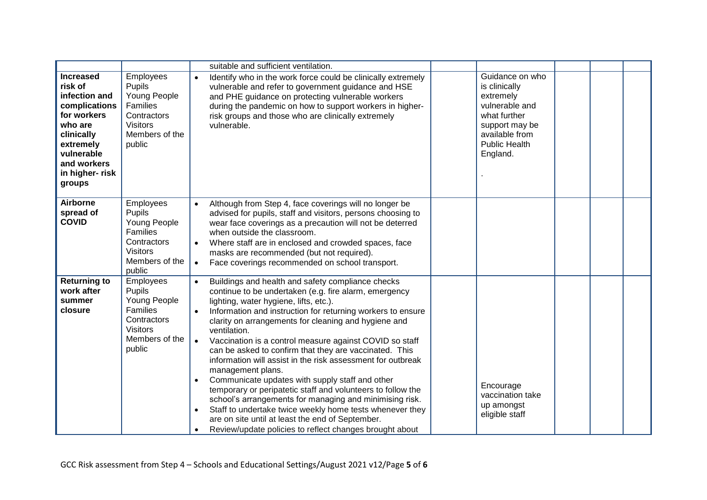|                                                                                                                                                                              |                                                                                                               | suitable and sufficient ventilation.                                                                                                                                                                                                                                                                                                                                                                                                                                                                                                                                                                                                                                                                                                                                                                                                                                                                |                                                                                                                                                         |
|------------------------------------------------------------------------------------------------------------------------------------------------------------------------------|---------------------------------------------------------------------------------------------------------------|-----------------------------------------------------------------------------------------------------------------------------------------------------------------------------------------------------------------------------------------------------------------------------------------------------------------------------------------------------------------------------------------------------------------------------------------------------------------------------------------------------------------------------------------------------------------------------------------------------------------------------------------------------------------------------------------------------------------------------------------------------------------------------------------------------------------------------------------------------------------------------------------------------|---------------------------------------------------------------------------------------------------------------------------------------------------------|
| <b>Increased</b><br>risk of<br>infection and<br>complications<br>for workers<br>who are<br>clinically<br>extremely<br>vulnerable<br>and workers<br>in higher- risk<br>groups | Employees<br>Pupils<br>Young People<br>Families<br>Contractors<br><b>Visitors</b><br>Members of the<br>public | Identify who in the work force could be clinically extremely<br>$\bullet$<br>vulnerable and refer to government guidance and HSE<br>and PHE guidance on protecting vulnerable workers<br>during the pandemic on how to support workers in higher-<br>risk groups and those who are clinically extremely<br>vulnerable.                                                                                                                                                                                                                                                                                                                                                                                                                                                                                                                                                                              | Guidance on who<br>is clinically<br>extremely<br>vulnerable and<br>what further<br>support may be<br>available from<br><b>Public Health</b><br>England. |
| <b>Airborne</b><br>spread of<br><b>COVID</b>                                                                                                                                 | Employees<br>Pupils<br>Young People<br>Families<br>Contractors<br><b>Visitors</b><br>Members of the<br>public | Although from Step 4, face coverings will no longer be<br>$\bullet$<br>advised for pupils, staff and visitors, persons choosing to<br>wear face coverings as a precaution will not be deterred<br>when outside the classroom.<br>Where staff are in enclosed and crowded spaces, face<br>$\bullet$<br>masks are recommended (but not required).<br>Face coverings recommended on school transport.<br>$\bullet$                                                                                                                                                                                                                                                                                                                                                                                                                                                                                     |                                                                                                                                                         |
| <b>Returning to</b><br>work after<br>summer<br>closure                                                                                                                       | Employees<br>Pupils<br>Young People<br>Families<br>Contractors<br><b>Visitors</b><br>Members of the<br>public | Buildings and health and safety compliance checks<br>continue to be undertaken (e.g. fire alarm, emergency<br>lighting, water hygiene, lifts, etc.).<br>Information and instruction for returning workers to ensure<br>clarity on arrangements for cleaning and hygiene and<br>ventilation.<br>Vaccination is a control measure against COVID so staff<br>$\bullet$<br>can be asked to confirm that they are vaccinated. This<br>information will assist in the risk assessment for outbreak<br>management plans.<br>Communicate updates with supply staff and other<br>$\bullet$<br>temporary or peripatetic staff and volunteers to follow the<br>school's arrangements for managing and minimising risk.<br>Staff to undertake twice weekly home tests whenever they<br>$\bullet$<br>are on site until at least the end of September.<br>Review/update policies to reflect changes brought about | Encourage<br>vaccination take<br>up amongst<br>eligible staff                                                                                           |